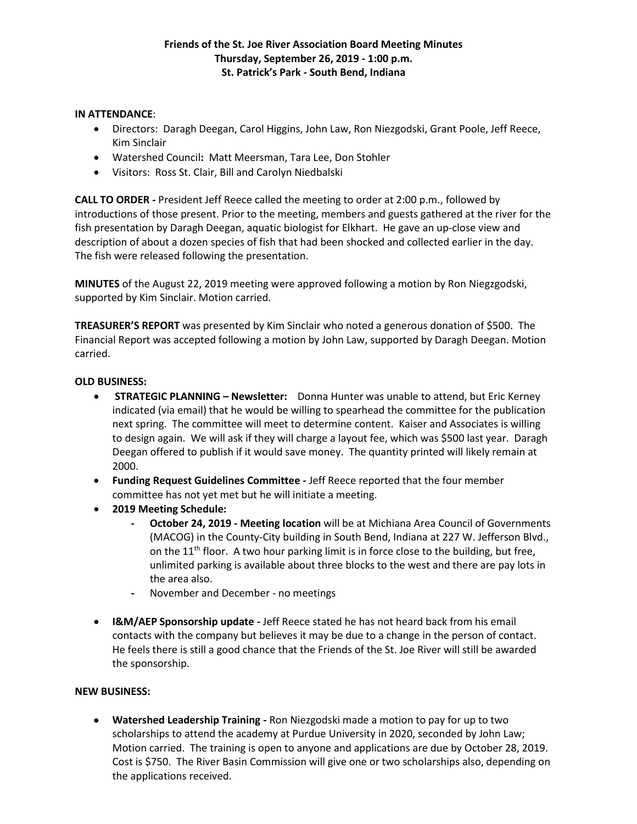### **IN ATTENDANCE**:

- Directors: Daragh Deegan, Carol Higgins, John Law, Ron Niezgodski, Grant Poole, Jeff Reece, Kim Sinclair
- Watershed Council**:** Matt Meersman, Tara Lee, Don Stohler
- Visitors: Ross St. Clair, Bill and Carolyn Niedbalski

**CALL TO ORDER -** President Jeff Reece called the meeting to order at 2:00 p.m., followed by introductions of those present. Prior to the meeting, members and guests gathered at the river for the fish presentation by Daragh Deegan, aquatic biologist for Elkhart. He gave an up-close view and description of about a dozen species of fish that had been shocked and collected earlier in the day. The fish were released following the presentation.

**MINUTES** of the August 22, 2019 meeting were approved following a motion by Ron Niegzgodski, supported by Kim Sinclair. Motion carried.

**TREASURER'S REPORT** was presented by Kim Sinclair who noted a generous donation of \$500. The Financial Report was accepted following a motion by John Law, supported by Daragh Deegan. Motion carried.

#### **OLD BUSINESS:**

- **STRATEGIC PLANNING – Newsletter:** Donna Hunter was unable to attend, but Eric Kerney indicated (via email) that he would be willing to spearhead the committee for the publication next spring. The committee will meet to determine content. Kaiser and Associates is willing to design again. We will ask if they will charge a layout fee, which was \$500 last year. Daragh Deegan offered to publish if it would save money. The quantity printed will likely remain at 2000.
- **Funding Request Guidelines Committee -** Jeff Reece reported that the four member committee has not yet met but he will initiate a meeting.
- **2019 Meeting Schedule:**
	- **- October 24, 2019 - Meeting location** will be at Michiana Area Council of Governments (MACOG) in the County-City building in South Bend, Indiana at 227 W. Jefferson Blvd., on the  $11<sup>th</sup>$  floor. A two hour parking limit is in force close to the building, but free, unlimited parking is available about three blocks to the west and there are pay lots in the area also.
	- **-** November and December no meetings
- **I&M/AEP Sponsorship update -** Jeff Reece stated he has not heard back from his email contacts with the company but believes it may be due to a change in the person of contact. He feels there is still a good chance that the Friends of the St. Joe River will still be awarded the sponsorship.

### **NEW BUSINESS:**

 **Watershed Leadership Training -** Ron Niezgodski made a motion to pay for up to two scholarships to attend the academy at Purdue University in 2020, seconded by John Law; Motion carried. The training is open to anyone and applications are due by October 28, 2019. Cost is \$750. The River Basin Commission will give one or two scholarships also, depending on the applications received.